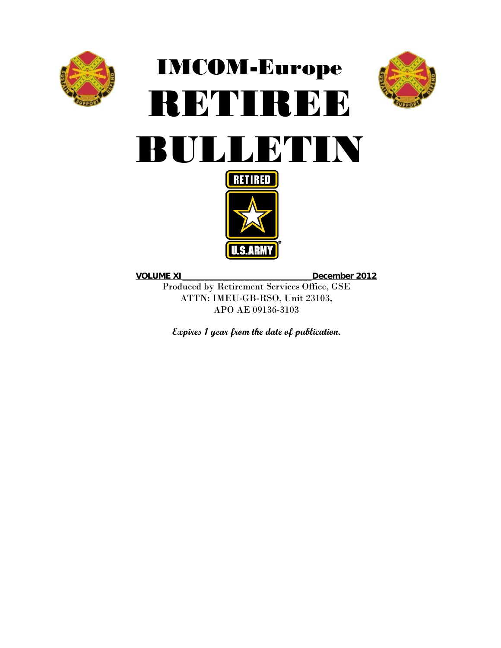

# IMCOM-Europe RETIREE **BULLETIN**





**VOLUME XI**\_\_\_\_\_\_\_\_\_\_\_\_\_\_\_\_\_\_\_\_\_\_\_\_\_\_\_\_\_**December 2012**

Produced by Retirement Services Office, GSE ATTN: IMEU-GB-RSO, Unit 23103, APO AE 09136-3103

**Expires 1 year from the date of publication.**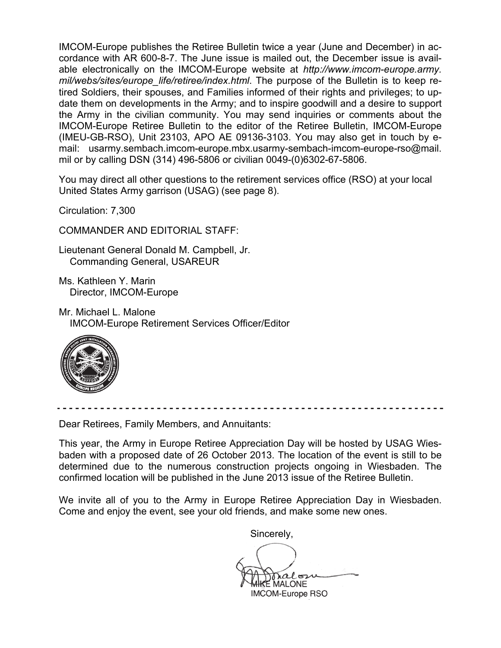IMCOM-Europe publishes the Retiree Bulletin twice a year (June and December) in accordance with AR 600-8-7. The June issue is mailed out, the December issue is available electronically on the IMCOM-Europe website at *http://www.imcom-europe.army. mil/webs/sites/europe\_life/retiree/index.html*. The purpose of the Bulletin is to keep retired Soldiers, their spouses, and Families informed of their rights and privileges; to update them on developments in the Army; and to inspire goodwill and a desire to support the Army in the civilian community. You may send inquiries or comments about the IMCOM-Europe Retiree Bulletin to the editor of the Retiree Bulletin, IMCOM-Europe (IMEU-GB-RSO), Unit 23103, APO AE 09136-3103. You may also get in touch by email: usarmy.sembach.imcom-europe.mbx.usarmy-sembach-imcom-europe-rso@mail. mil or by calling DSN (314) 496-5806 or civilian 0049-(0)6302-67-5806.

You may direct all other questions to the retirement services office (RSO) at your local United States Army garrison (USAG) (see page 8).

Circulation: 7,300

COMMANDER AND EDITORIAL STAFF:

Lieutenant General Donald M. Campbell, Jr. Commanding General, USAREUR

Ms. Kathleen Y. Marin Director, IMCOM-Europe

Mr. Michael L. Malone IMCOM-Europe Retirement Services Officer/Editor



Dear Retirees, Family Members, and Annuitants:

This year, the Army in Europe Retiree Appreciation Day will be hosted by USAG Wiesbaden with a proposed date of 26 October 2013. The location of the event is still to be determined due to the numerous construction projects ongoing in Wiesbaden. The confirmed location will be published in the June 2013 issue of the Retiree Bulletin.

We invite all of you to the Army in Europe Retiree Appreciation Day in Wiesbaden. Come and enjoy the event, see your old friends, and make some new ones.

Sincerely,

 $\sqrt{2}$ **E** MALONE IMCOM-Europe RSO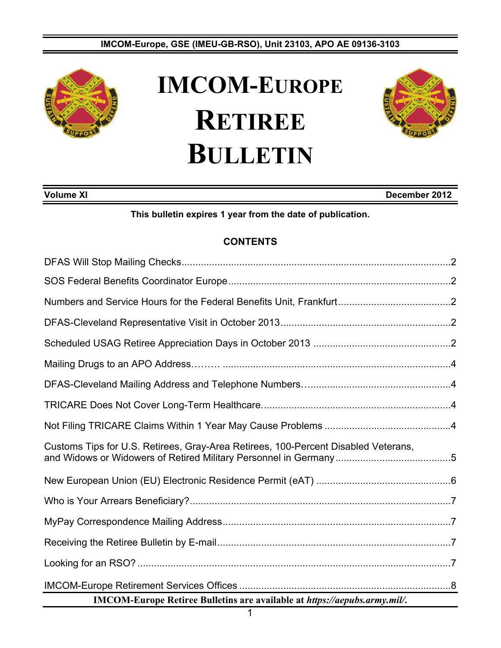#### **IMCOM-Europe, GSE (IMEU-GB-RSO), Unit 23103, APO AE 09136-3103**



## **IMCOM-EUROPE RETIREE BULLETIN**



### **Volume XI December 2012**

#### **This bulletin expires 1 year from the date of publication.**

#### **CONTENTS**

| Customs Tips for U.S. Retirees, Gray-Area Retirees, 100-Percent Disabled Veterans, |  |  |
|------------------------------------------------------------------------------------|--|--|
|                                                                                    |  |  |
|                                                                                    |  |  |
|                                                                                    |  |  |
|                                                                                    |  |  |
|                                                                                    |  |  |
|                                                                                    |  |  |
| IMCOM-Europe Retiree Bulletins are available at https://aepubs.army.mil/.          |  |  |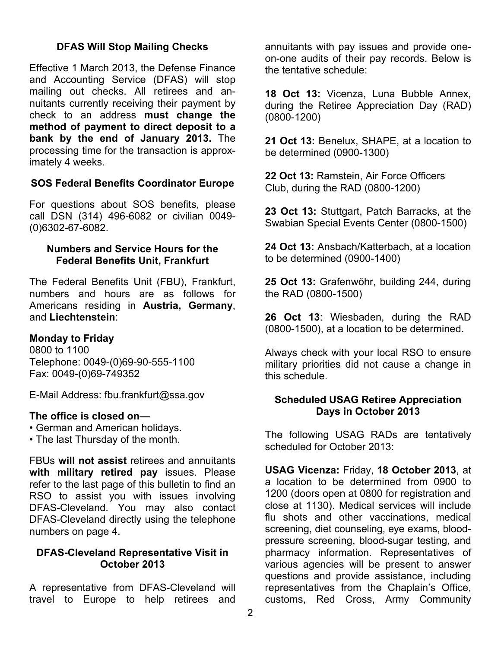### **DFAS Will Stop Mailing Checks**

Effective 1 March 2013, the Defense Finance and Accounting Service (DFAS) will stop mailing out checks. All retirees and annuitants currently receiving their payment by check to an address **must change the method of payment to direct deposit to a bank by the end of January 2013.** The processing time for the transaction is approximately 4 weeks.

### **SOS Federal Benefits Coordinator Europe**

For questions about SOS benefits, please call DSN (314) 496-6082 or civilian 0049- (0)6302-67-6082.

#### **Numbers and Service Hours for the Federal Benefits Unit, Frankfurt**

The Federal Benefits Unit (FBU), Frankfurt, numbers and hours are as follows for Americans residing in **Austria, Germany**, and **Liechtenstein**:

### **Monday to Friday**

0800 to 1100 Telephone: 0049-(0)69-90-555-1100 Fax: 0049-(0)69-749352

E-Mail Address: fbu.frankfurt@ssa.gov

### **The office is closed on—**

- German and American holidays.
- The last Thursday of the month.

FBUs **will not assist** retirees and annuitants **with military retired pay** issues. Please refer to the last page of this bulletin to find an RSO to assist you with issues involving DFAS-Cleveland. You may also contact DFAS-Cleveland directly using the telephone numbers on page 4.

#### **DFAS-Cleveland Representative Visit in October 2013**

A representative from DFAS-Cleveland will travel to Europe to help retirees and

annuitants with pay issues and provide oneon-one audits of their pay records. Below is the tentative schedule:

**18 Oct 13:** Vicenza, Luna Bubble Annex, during the Retiree Appreciation Day (RAD) (0800-1200)

**21 Oct 13:** Benelux, SHAPE, at a location to be determined (0900-1300)

**22 Oct 13:** Ramstein, Air Force Officers Club, during the RAD (0800-1200)

**23 Oct 13:** Stuttgart, Patch Barracks, at the Swabian Special Events Center (0800-1500)

**24 Oct 13:** Ansbach/Katterbach, at a location to be determined (0900-1400)

**25 Oct 13:** Grafenwöhr, building 244, during the RAD (0800-1500)

**26 Oct 13**: Wiesbaden, during the RAD (0800-1500), at a location to be determined.

Always check with your local RSO to ensure military priorities did not cause a change in this schedule.

### **Scheduled USAG Retiree Appreciation Days in October 2013**

The following USAG RADs are tentatively scheduled for October 2013:

**USAG Vicenza:** Friday, **18 October 2013**, at a location to be determined from 0900 to 1200 (doors open at 0800 for registration and close at 1130). Medical services will include flu shots and other vaccinations, medical screening, diet counseling, eye exams, bloodpressure screening, blood-sugar testing, and pharmacy information. Representatives of various agencies will be present to answer questions and provide assistance, including representatives from the Chaplain's Office, customs, Red Cross, Army Community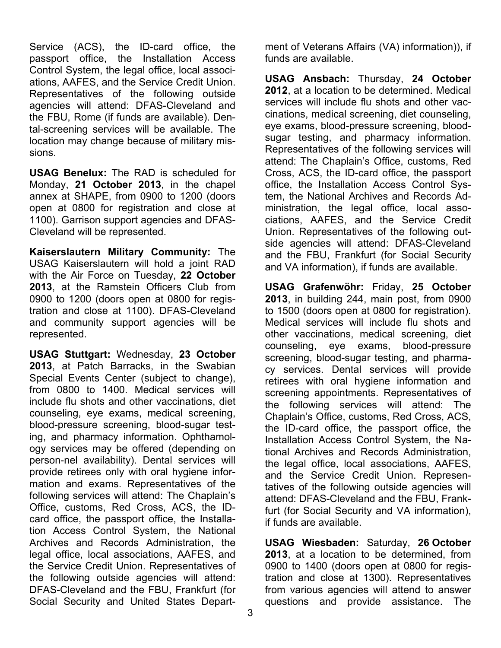Service (ACS), the ID-card office, the passport office, the Installation Access Control System, the legal office, local associations, AAFES, and the Service Credit Union. Representatives of the following outside agencies will attend: DFAS-Cleveland and the FBU, Rome (if funds are available). Dental-screening services will be available. The location may change because of military missions.

**USAG Benelux:** The RAD is scheduled for Monday, **21 October 2013**, in the chapel annex at SHAPE, from 0900 to 1200 (doors open at 0800 for registration and close at 1100). Garrison support agencies and DFAS-Cleveland will be represented.

**Kaiserslautern Military Community:** The USAG Kaiserslautern will hold a joint RAD with the Air Force on Tuesday, **22 October 2013**, at the Ramstein Officers Club from 0900 to 1200 (doors open at 0800 for registration and close at 1100). DFAS-Cleveland and community support agencies will be represented.

**USAG Stuttgart:** Wednesday, **23 October 2013**, at Patch Barracks, in the Swabian Special Events Center (subject to change), from 0800 to 1400. Medical services will include flu shots and other vaccinations, diet counseling, eye exams, medical screening, blood-pressure screening, blood-sugar testing, and pharmacy information. Ophthamology services may be offered (depending on person-nel availability). Dental services will provide retirees only with oral hygiene information and exams. Representatives of the following services will attend: The Chaplain's Office, customs, Red Cross, ACS, the IDcard office, the passport office, the Installation Access Control System, the National Archives and Records Administration, the legal office, local associations, AAFES, and the Service Credit Union. Representatives of the following outside agencies will attend: DFAS-Cleveland and the FBU, Frankfurt (for Social Security and United States Depart-

ment of Veterans Affairs (VA) information)), if funds are available.

**USAG Ansbach:** Thursday, **24 October 2012**, at a location to be determined. Medical services will include flu shots and other vaccinations, medical screening, diet counseling, eye exams, blood-pressure screening, bloodsugar testing, and pharmacy information. Representatives of the following services will attend: The Chaplain's Office, customs, Red Cross, ACS, the ID-card office, the passport office, the Installation Access Control System, the National Archives and Records Administration, the legal office, local associations, AAFES, and the Service Credit Union. Representatives of the following outside agencies will attend: DFAS-Cleveland and the FBU, Frankfurt (for Social Security and VA information), if funds are available.

**USAG Grafenwöhr:** Friday, **25 October 2013**, in building 244, main post, from 0900 to 1500 (doors open at 0800 for registration). Medical services will include flu shots and other vaccinations, medical screening, diet counseling, eye exams, blood-pressure screening, blood-sugar testing, and pharmacy services. Dental services will provide retirees with oral hygiene information and screening appointments. Representatives of the following services will attend: The Chaplain's Office, customs, Red Cross, ACS, the ID-card office, the passport office, the Installation Access Control System, the National Archives and Records Administration, the legal office, local associations, AAFES, and the Service Credit Union. Representatives of the following outside agencies will attend: DFAS-Cleveland and the FBU, Frankfurt (for Social Security and VA information), if funds are available.

**USAG Wiesbaden:** Saturday, **26 October 2013**, at a location to be determined, from 0900 to 1400 (doors open at 0800 for registration and close at 1300). Representatives from various agencies will attend to answer questions and provide assistance. The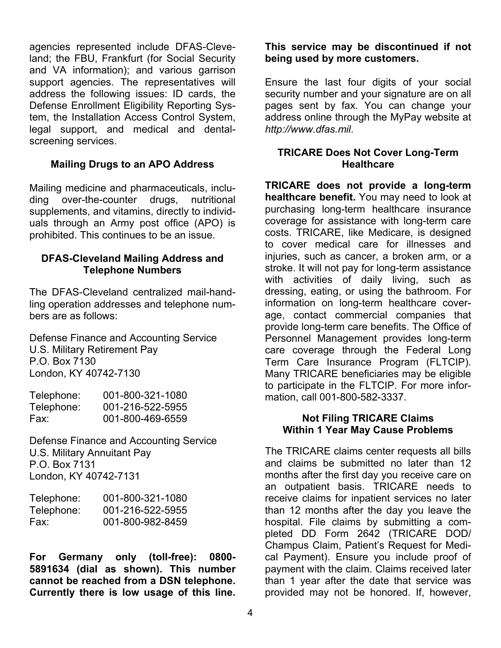agencies represented include DFAS-Cleveland; the FBU, Frankfurt (for Social Security and VA information); and various garrison support agencies. The representatives will address the following issues: ID cards, the Defense Enrollment Eligibility Reporting System, the Installation Access Control System, legal support, and medical and dentalscreening services.

#### **Mailing Drugs to an APO Address**

Mailing medicine and pharmaceuticals, including over-the-counter drugs, nutritional supplements, and vitamins, directly to individuals through an Army post office (APO) is prohibited. This continues to be an issue.

#### **DFAS-Cleveland Mailing Address and Telephone Numbers**

The DFAS-Cleveland centralized mail-handling operation addresses and telephone numbers are as follows:

Defense Finance and Accounting Service U.S. Military Retirement Pay P.O. Box 7130 London, KY 40742-7130

| Telephone: | 001-800-321-1080 |
|------------|------------------|
| Telephone: | 001-216-522-5955 |
| Fax:       | 001-800-469-6559 |

Defense Finance and Accounting Service U.S. Military Annuitant Pay P.O. Box 7131 London, KY 40742-7131

| Telephone: | 001-800-321-1080 |
|------------|------------------|
| Telephone: | 001-216-522-5955 |
| Fax:       | 001-800-982-8459 |

**For Germany only (toll-free): 0800- 5891634 (dial as shown). This number cannot be reached from a DSN telephone. Currently there is low usage of this line.** 

### **This service may be discontinued if not being used by more customers.**

Ensure the last four digits of your social security number and your signature are on all pages sent by fax. You can change your address online through the MyPay website at *http://www.dfas.mil*.

### **TRICARE Does Not Cover Long-Term Healthcare**

**TRICARE does not provide a long-term healthcare benefit.** You may need to look at purchasing long-term healthcare insurance coverage for assistance with long-term care costs. TRICARE, like Medicare, is designed to cover medical care for illnesses and injuries, such as cancer, a broken arm, or a stroke. It will not pay for long-term assistance with activities of daily living, such as dressing, eating, or using the bathroom. For information on long-term healthcare coverage, contact commercial companies that provide long-term care benefits. The Office of Personnel Management provides long-term care coverage through the Federal Long Term Care Insurance Program (FLTCIP). Many TRICARE beneficiaries may be eligible to participate in the FLTCIP. For more information, call 001-800-582-3337.

### **Not Filing TRICARE Claims Within 1 Year May Cause Problems**

The TRICARE claims center requests all bills and claims be submitted no later than 12 months after the first day you receive care on an outpatient basis. TRICARE needs to receive claims for inpatient services no later than 12 months after the day you leave the hospital. File claims by submitting a completed DD Form 2642 (TRICARE DOD/ Champus Claim, Patient's Request for Medical Payment). Ensure you include proof of payment with the claim. Claims received later than 1 year after the date that service was provided may not be honored. If, however,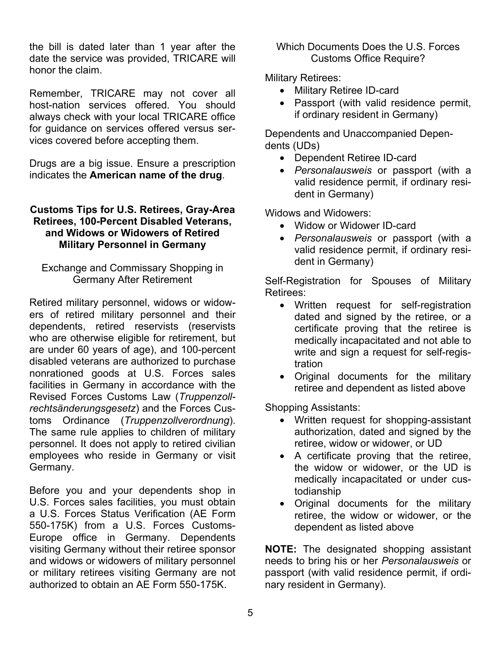the bill is dated later than 1 year after the date the service was provided, TRICARE will honor the claim.

Remember, TRICARE may not cover all host-nation services offered. You should always check with your local TRICARE office for guidance on services offered versus services covered before accepting them.

Drugs are a big issue. Ensure a prescription indicates the **American name of the drug**.

### **Customs Tips for U.S. Retirees, Gray-Area Retirees, 100-Percent Disabled Veterans, and Widows or Widowers of Retired Military Personnel in Germany**

Exchange and Commissary Shopping in Germany After Retirement

Retired military personnel, widows or widowers of retired military personnel and their dependents, retired reservists (reservists who are otherwise eligible for retirement, but are under 60 years of age), and 100-percent disabled veterans are authorized to purchase nonrationed goods at U.S. Forces sales facilities in Germany in accordance with the Revised Forces Customs Law (*Truppenzollrechtsänderungsgesetz*) and the Forces Customs Ordinance (*Truppenzollverordnung*). The same rule applies to children of military personnel. It does not apply to retired civilian employees who reside in Germany or visit Germany.

Before you and your dependents shop in U.S. Forces sales facilities, you must obtain a U.S. Forces Status Verification (AE Form 550-175K) from a U.S. Forces Customs-Europe office in Germany. Dependents visiting Germany without their retiree sponsor and widows or widowers of military personnel or military retirees visiting Germany are not authorized to obtain an AE Form 550-175K.

Which Documents Does the U.S. Forces Customs Office Require?

Military Retirees:

- Military Retiree ID-card
- Passport (with valid residence permit, if ordinary resident in Germany)

Dependents and Unaccompanied Dependents (UDs)

- Dependent Retiree ID-card
- *Personalausweis* or passport (with a valid residence permit, if ordinary resident in Germany)

Widows and Widowers:

- Widow or Widower ID-card
- *Personalausweis* or passport (with a valid residence permit, if ordinary resident in Germany)

Self-Registration for Spouses of Military Retirees:

- Written request for self-registration dated and signed by the retiree, or a certificate proving that the retiree is medically incapacitated and not able to write and sign a request for self-registration
- Original documents for the military retiree and dependent as listed above

Shopping Assistants:

- Written request for shopping-assistant authorization, dated and signed by the retiree, widow or widower, or UD
- A certificate proving that the retiree, the widow or widower, or the UD is medically incapacitated or under custodianship
- Original documents for the military retiree, the widow or widower, or the dependent as listed above

**NOTE:** The designated shopping assistant needs to bring his or her *Personalausweis* or passport (with valid residence permit, if ordinary resident in Germany).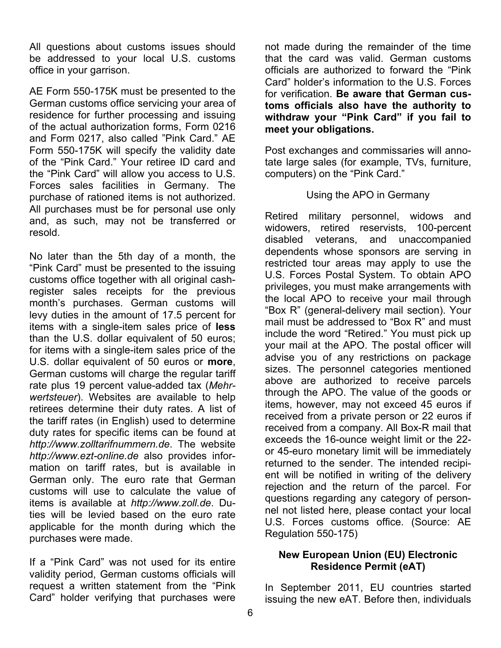All questions about customs issues should be addressed to your local U.S. customs office in your garrison.

AE Form 550-175K must be presented to the German customs office servicing your area of residence for further processing and issuing of the actual authorization forms, Form 0216 and Form 0217, also called "Pink Card." AE Form 550-175K will specify the validity date of the "Pink Card." Your retiree ID card and the "Pink Card" will allow you access to U.S. Forces sales facilities in Germany. The purchase of rationed items is not authorized. All purchases must be for personal use only and, as such, may not be transferred or resold.

No later than the 5th day of a month, the "Pink Card" must be presented to the issuing customs office together with all original cashregister sales receipts for the previous month's purchases. German customs will levy duties in the amount of 17.5 percent for items with a single-item sales price of **less** than the U.S. dollar equivalent of 50 euros; for items with a single-item sales price of the U.S. dollar equivalent of 50 euros or **more**, German customs will charge the regular tariff rate plus 19 percent value-added tax (*Mehrwertsteuer*). Websites are available to help retirees determine their duty rates. A list of the tariff rates (in English) used to determine duty rates for specific items can be found at *http://www.zolltarifnummern.de*. The website *http://www.ezt-online.de* also provides information on tariff rates, but is available in German only. The euro rate that German customs will use to calculate the value of items is available at *http://www.zoll.de*. Duties will be levied based on the euro rate applicable for the month during which the purchases were made.

If a "Pink Card" was not used for its entire validity period, German customs officials will request a written statement from the "Pink Card" holder verifying that purchases were

not made during the remainder of the time that the card was valid. German customs officials are authorized to forward the "Pink Card" holder's information to the U.S. Forces for verification. **Be aware that German customs officials also have the authority to withdraw your "Pink Card" if you fail to meet your obligations.** 

Post exchanges and commissaries will annotate large sales (for example, TVs, furniture, computers) on the "Pink Card."

### Using the APO in Germany

Retired military personnel, widows and widowers, retired reservists, 100-percent disabled veterans, and unaccompanied dependents whose sponsors are serving in restricted tour areas may apply to use the U.S. Forces Postal System. To obtain APO privileges, you must make arrangements with the local APO to receive your mail through "Box R" (general-delivery mail section). Your mail must be addressed to "Box R" and must include the word "Retired." You must pick up your mail at the APO. The postal officer will advise you of any restrictions on package sizes. The personnel categories mentioned above are authorized to receive parcels through the APO. The value of the goods or items, however, may not exceed 45 euros if received from a private person or 22 euros if received from a company. All Box-R mail that exceeds the 16-ounce weight limit or the 22 or 45-euro monetary limit will be immediately returned to the sender. The intended recipient will be notified in writing of the delivery rejection and the return of the parcel. For questions regarding any category of personnel not listed here, please contact your local U.S. Forces customs office. (Source: AE Regulation 550-175)

#### **New European Union (EU) Electronic Residence Permit (eAT)**

In September 2011, EU countries started issuing the new eAT. Before then, individuals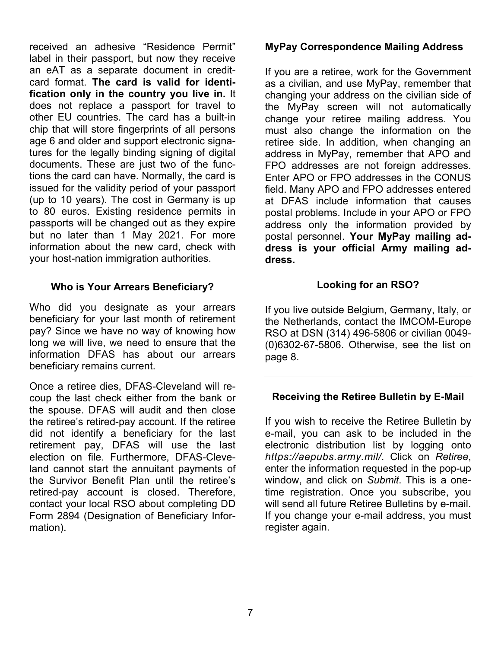received an adhesive "Residence Permit" label in their passport, but now they receive an eAT as a separate document in creditcard format. **The card is valid for identification only in the country you live in.** It does not replace a passport for travel to other EU countries. The card has a built-in chip that will store fingerprints of all persons age 6 and older and support electronic signatures for the legally binding signing of digital documents. These are just two of the functions the card can have. Normally, the card is issued for the validity period of your passport (up to 10 years). The cost in Germany is up to 80 euros. Existing residence permits in passports will be changed out as they expire but no later than 1 May 2021. For more information about the new card, check with your host-nation immigration authorities.

### **Who is Your Arrears Beneficiary?**

Who did you designate as your arrears beneficiary for your last month of retirement pay? Since we have no way of knowing how long we will live, we need to ensure that the information DFAS has about our arrears beneficiary remains current.

Once a retiree dies, DFAS-Cleveland will recoup the last check either from the bank or the spouse. DFAS will audit and then close the retiree's retired-pay account. If the retiree did not identify a beneficiary for the last retirement pay, DFAS will use the last election on file. Furthermore, DFAS-Cleveland cannot start the annuitant payments of the Survivor Benefit Plan until the retiree's retired-pay account is closed. Therefore, contact your local RSO about completing DD Form 2894 (Designation of Beneficiary Information).

#### **MyPay Correspondence Mailing Address**

If you are a retiree, work for the Government as a civilian, and use MyPay, remember that changing your address on the civilian side of the MyPay screen will not automatically change your retiree mailing address. You must also change the information on the retiree side. In addition, when changing an address in MyPay, remember that APO and FPO addresses are not foreign addresses. Enter APO or FPO addresses in the CONUS field. Many APO and FPO addresses entered at DFAS include information that causes postal problems. Include in your APO or FPO address only the information provided by postal personnel. **Your MyPay mailing address is your official Army mailing address.** 

### **Looking for an RSO?**

If you live outside Belgium, Germany, Italy, or the Netherlands, contact the IMCOM-Europe RSO at DSN (314) 496-5806 or civilian 0049- (0)6302-67-5806. Otherwise, see the list on page 8.

### **Receiving the Retiree Bulletin by E-Mail**

If you wish to receive the Retiree Bulletin by e-mail, you can ask to be included in the electronic distribution list by logging onto *https://aepubs.army.mil/.* Click on *Retiree*, enter the information requested in the pop-up window, and click on *Submit*. This is a onetime registration. Once you subscribe, you will send all future Retiree Bulletins by e-mail. If you change your e-mail address, you must register again.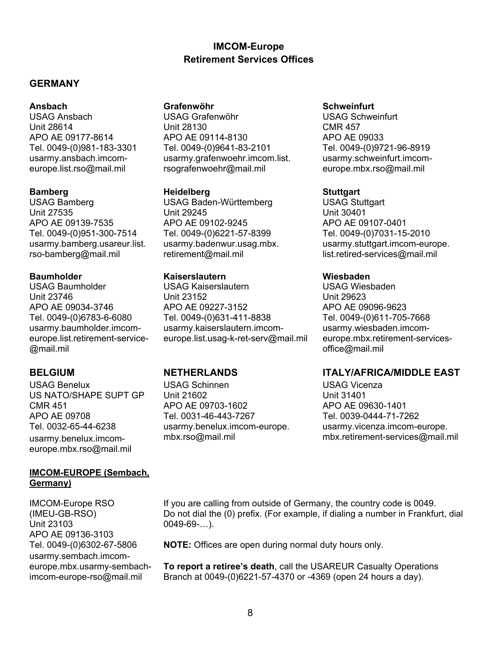### **IMCOM-Europe Retirement Services Offices**

#### **GERMANY**

usarmy.ansbach.imcomeurope.list.rso@mail.mil

USAG Bamberg USAG Baden-Württemberg USAG Stuttgart Unit 27535 Unit 29245 Unit 30401 APO AE 09139-7535 APO AE 09102-9245 APO AE 09107-0401 Tel. 0049-(0)951-300-7514 Tel. 0049-(0)6221-57-8399 Tel. 0049-(0)7031-15-2010 rso-bamberg@mail.mil retirement@mail.mil list.retired-services@mail.mil

usarmy.baumholder.imcomeurope.list.retirement-service- @mail.mil

USAG Benelux USAG Schinnen USAG Vicenza europe.mbx.rso@mail.mil

#### **IMCOM-EUROPE (Sembach, Germany)**

(IMEU-GB-RSO) Unit 23103 APO AE 09136-3103 Tel. 0049-(0)6302-67-5806 usarmy.sembach.imcomeurope.mbx.usarmy-sembachimcom-europe-rso@mail.mil

#### **Ansbach Grafenwöhr Schweinfurt**

USAG Ansbach USAG Grafenwöhr USAG Schweinfurt Unit 28614 Unit 28130 CMR 457 APO AE 09177-8614 APO AE 09114-8130 APO AE 09033 Tel. 0049-(0)981-183-3301 Tel. 0049-(0)9641-83-2101 Tel. 0049-(0)9721-96-8919 usarmy.grafenwoehr.imcom.list. rsografenwoehr@mail.mil

#### **Bamberg Heidelberg Stuttgart**

#### **Baumholder Kaiserslautern Wiesbaden**

USAG Baumholder USAG Kaiserslautern USAG Wiesbaden Unit 23746 Unit 23152 Unit 29623 APO AE 09034-3746 APO AE 09227-3152 APO AE 09096-9623 Tel. 0049-(0)6783-6-6080 Tel. 0049-(0)631-411-8838 Tel. 0049-(0)611-705-7668 usarmy.kaiserslautern.imcomeurope.list.usag-k-ret-serv@mail.mil

US NATO/SHAPE SUPT GP Unit 21602<br>CMR 451 CMR 451 CMR 451 APO AE 09703-1602 APO AE 09708 Tel. 0031-46-443-7267 Tel. 0039-0444-71-7262

usarmy.schweinfurt.imcomeurope.mbx.rso@mail.mil

usarmy.bamberg.usareur.list. usarmy.badenwur.usag.mbx. usarmy.stuttgart.imcom-europe.

usarmy.wiesbaden.imcomeurope.mbx.retirement-servicesoffice@mail.mil

### **BELGIUM NETHERLANDS ITALY/AFRICA/MIDDLE EAST**

Tel. 0032-65-44-6238 usarmy.benelux.imcom-europe. usarmy.vicenza.imcom-europe. usarmy.benelux.imcom- mbx.rso@mail.mil mbx.mex.retirement-services@mail.mil

IMCOM-Europe RSO If you are calling from outside of Germany, the country code is 0049. Do not dial the (0) prefix. (For example, if dialing a number in Frankfurt, dial  $0049-69-...$ 

**NOTE:** Offices are open during normal duty hours only.

**To report a retiree's death**, call the USAREUR Casualty Operations Branch at 0049-(0)6221-57-4370 or -4369 (open 24 hours a day).